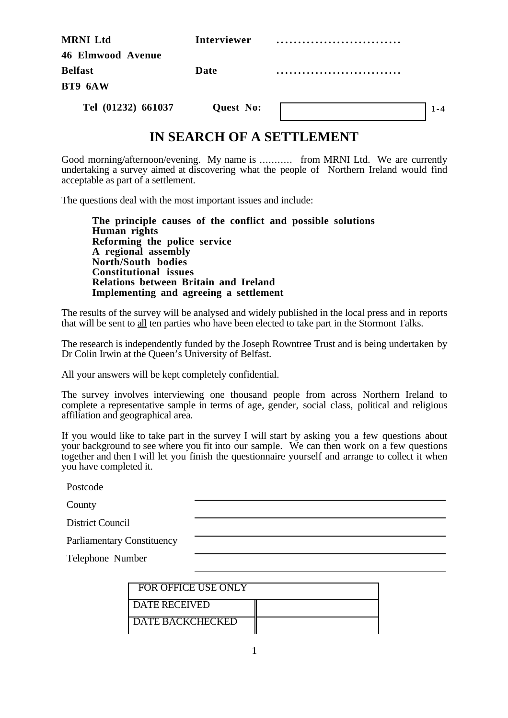| <b>MRNI</b> Ltd          | <b>Interviewer</b> |  |
|--------------------------|--------------------|--|
| <b>46 Elmwood Avenue</b> |                    |  |
| <b>Belfast</b>           | Date               |  |
| BT9 6AW                  |                    |  |
| Tel (01232) 661037       | <b>Quest No:</b>   |  |

# **IN SEARCH OF A SETTLEMENT**

Good morning/afternoon/evening. My name is ........... from MRNI Ltd. We are currently undertaking a survey aimed at discovering what the people of Northern Ireland would find acceptable as part of a settlement.

The questions deal with the most important issues and include:

**The principle causes of the conflict and possible solutions Human rights Reforming the police service A regional assembly North/South bodies Constitutional issues Relations between Britain and Ireland Implementing and agreeing a settlement**

The results of the survey will be analysed and widely published in the local press and in reports that will be sent to all ten parties who have been elected to take part in the Stormont Talks.

The research is independently funded by the Joseph Rowntree Trust and is being undertaken by Dr Colin Irwin at the Queen's University of Belfast.

All your answers will be kept completely confidential.

The survey involves interviewing one thousand people from across Northern Ireland to complete a representative sample in terms of age, gender, social class, political and religious affiliation and geographical area.

If you would like to take part in the survey I will start by asking you a few questions about your background to see where you fit into our sample. We can then work on a few questions together and then I will let you finish the questionnaire yourself and arrange to collect it when you have completed it.

| Postcode                          |  |  |
|-----------------------------------|--|--|
| County                            |  |  |
| <b>District Council</b>           |  |  |
| <b>Parliamentary Constituency</b> |  |  |
| Telephone Number                  |  |  |
|                                   |  |  |

| <b>FOR OFFICE USE ONLY</b> |  |
|----------------------------|--|
| <b>DATE RECEIVED</b>       |  |
| <b>DATE BACKCHECKED</b>    |  |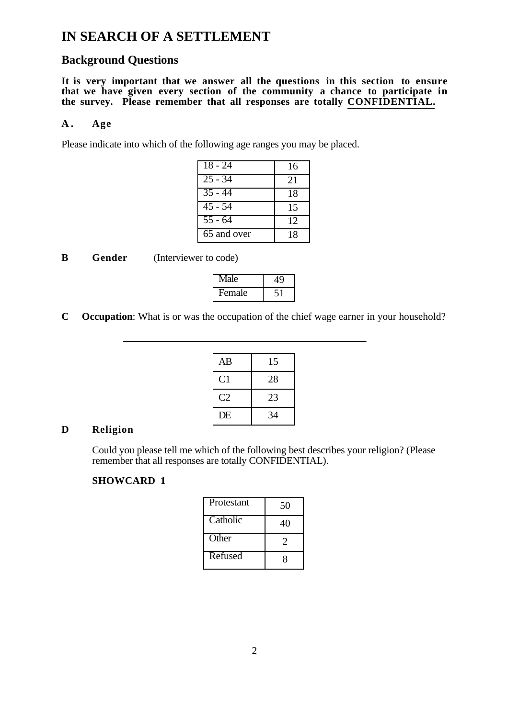# **IN SEARCH OF A SETTLEMENT**

# **Background Questions**

**It is very important that we answer all the questions in this section to ensure that we have given every section of the community a chance to participate in the survey. Please remember that all responses are totally CONFIDENTIAL.** 

#### **A . Age**

Please indicate into which of the following age ranges you may be placed.

| $18 - 24$            | 16 |
|----------------------|----|
| $25 - 34$            | 21 |
| $\overline{35}$ - 44 | 18 |
| $\overline{45}$ - 54 | 15 |
| $55 - 64$            | 12 |
| 65 and over          | 18 |

| B<br>Gender | (Interviewer to code) |
|-------------|-----------------------|
|-------------|-----------------------|

 $\overline{a}$ 

| Vlale  |  |
|--------|--|
| remale |  |

**C Occupation**: What is or was the occupation of the chief wage earner in your household?

| AB             | 15 |
|----------------|----|
| C <sub>1</sub> | 28 |
| C <sub>2</sub> | 23 |
| DE             | 34 |

#### **D Religion**

Could you please tell me which of the following best describes your religion? (Please remember that all responses are totally CONFIDENTIAL).

| Protestant | 50 |
|------------|----|
| Catholic   | 40 |
| Other      |    |
| Refused    | x  |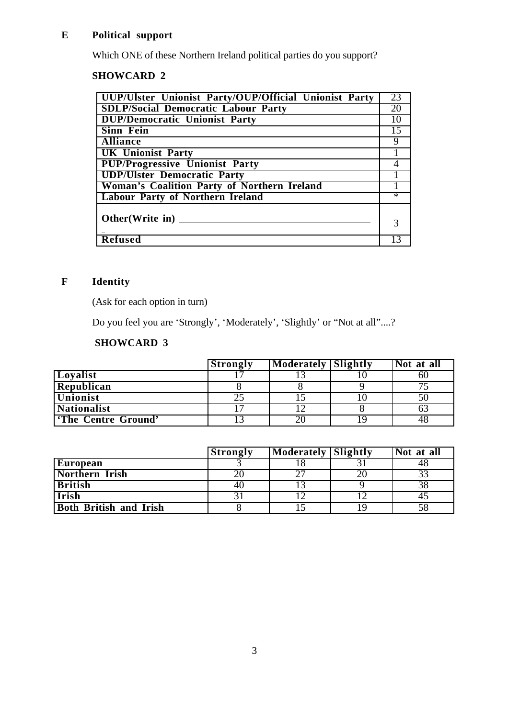# **E Political support**

Which ONE of these Northern Ireland political parties do you support?

# **SHOWCARD 2**

| UUP/Ulster Unionist Party/OUP/Official Unionist Party | 23     |
|-------------------------------------------------------|--------|
| <b>SDLP/Social Democratic Labour Party</b>            | 20     |
| <b>DUP/Democratic Unionist Party</b>                  | 10     |
| <b>Sinn Fein</b>                                      | 15     |
| <b>Alliance</b>                                       | 9      |
| <b>UK Unionist Party</b>                              |        |
| <b>PUP/Progressive Unionist Party</b>                 |        |
| <b>UDP/Ulster Democratic Party</b>                    |        |
| Woman's Coalition Party of Northern Ireland           |        |
| <b>Labour Party of Northern Ireland</b>               | $\ast$ |
|                                                       |        |
| Other (Write in) $\overline{\phantom{a}}$             |        |
|                                                       |        |
| <b>Refused</b>                                        |        |

# **F Identity**

(Ask for each option in turn)

Do you feel you are 'Strongly', 'Moderately', 'Slightly' or "Not at all"....?

|                           | <b>Strongly</b> | <b>Moderately Slightly</b> | Not at all |
|---------------------------|-----------------|----------------------------|------------|
| Loyalist                  |                 |                            |            |
| Republican                |                 |                            |            |
| <b>Unionist</b>           | 21              |                            |            |
| <b>Nationalist</b>        |                 |                            |            |
| <b>The Centre Ground'</b> |                 |                            |            |

|                               | <b>Strongly</b> | Moderately Slightly | Not at all |
|-------------------------------|-----------------|---------------------|------------|
| European                      |                 |                     |            |
| Northern Irish                |                 |                     |            |
| <b>British</b>                | 40              |                     |            |
| <b>Irish</b>                  |                 |                     |            |
| <b>Both British and Irish</b> |                 |                     |            |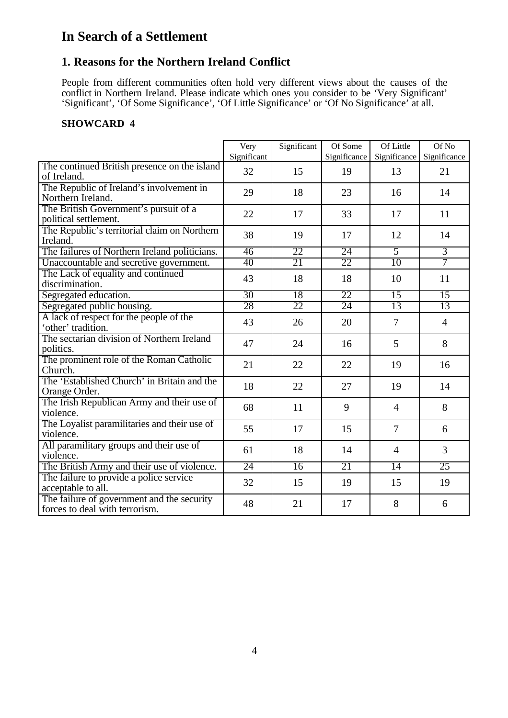# **In Search of a Settlement**

# **1. Reasons for the Northern Ireland Conflict**

People from different communities often hold very different views about the causes of the conflict in Northern Ireland. Please indicate which ones you consider to be 'Very Significant' 'Significant', 'Of Some Significance', 'Of Little Significance' or 'Of No Significance' at all.

|                                                                              | Very<br>Significant | Significant | Of Some<br>Significance | Of Little<br>Significance | Of No<br>Significance |
|------------------------------------------------------------------------------|---------------------|-------------|-------------------------|---------------------------|-----------------------|
| The continued British presence on the island<br>of Ireland.                  | 32                  | 15          | 19                      | 13                        | 21                    |
| The Republic of Ireland's involvement in<br>Northern Ireland.                | 29                  | 18          | 23                      | 16                        | 14                    |
| The British Government's pursuit of a<br>political settlement.               | 22                  | 17          | 33                      | 17                        | 11                    |
| The Republic's territorial claim on Northern<br>Ireland.                     | 38                  | 19          | 17                      | 12                        | 14                    |
| The failures of Northern Ireland politicians.                                | 46                  | 22          | 24                      | $\overline{5}$            | $\overline{3}$        |
| Unaccountable and secretive government.                                      | 40                  | 21          | 22                      | 10                        | $\overline{7}$        |
| The Lack of equality and continued<br>discrimination.                        | 43                  | 18          | 18                      | 10                        | 11                    |
| Segregated education.                                                        | 30                  | 18          | 22                      | 15                        | 15                    |
| Segregated public housing.                                                   | 28                  | 22          | $\overline{24}$         | 13                        | 13                    |
| A lack of respect for the people of the<br>'other' tradition.                | 43                  | 26          | 20                      | 7                         | $\overline{4}$        |
| The sectarian division of Northern Ireland<br>politics.                      | 47                  | 24          | 16                      | 5                         | 8                     |
| The prominent role of the Roman Catholic<br>Church.                          | 21                  | 22          | 22                      | 19                        | 16                    |
| The 'Established Church' in Britain and the<br>Orange Order.                 | 18                  | 22          | 27                      | 19                        | 14                    |
| The Irish Republican Army and their use of<br>violence.                      | 68                  | 11          | 9                       | $\overline{4}$            | 8                     |
| The Loyalist paramilitaries and their use of<br>violence.                    | 55                  | 17          | 15                      | 7                         | 6                     |
| All paramilitary groups and their use of<br>violence.                        | 61                  | 18          | 14                      | $\overline{4}$            | 3                     |
| The British Army and their use of violence.                                  | 24                  | 16          | 21                      | $\overline{14}$           | 25                    |
| The failure to provide a police service<br>acceptable to all.                | 32                  | 15          | 19                      | 15                        | 19                    |
| The failure of government and the security<br>forces to deal with terrorism. | 48                  | 21          | 17                      | 8                         | 6                     |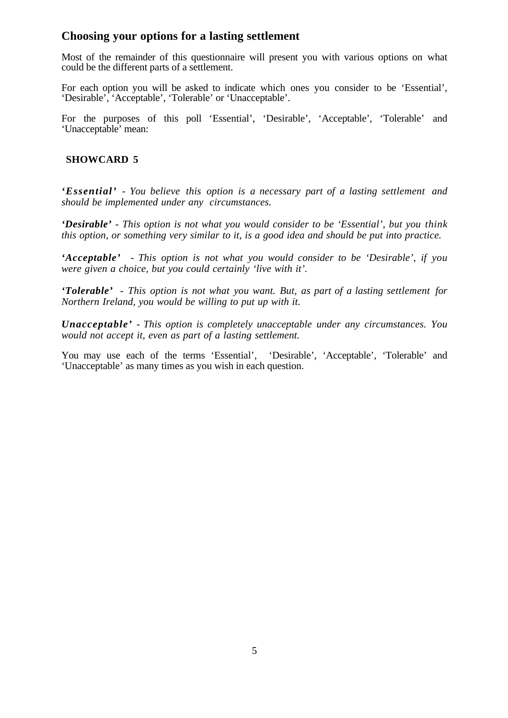### **Choosing your options for a lasting settlement**

Most of the remainder of this questionnaire will present you with various options on what could be the different parts of a settlement.

For each option you will be asked to indicate which ones you consider to be 'Essential', 'Desirable', 'Acceptable', 'Tolerable' or 'Unacceptable'.

For the purposes of this poll 'Essential', 'Desirable', 'Acceptable', 'Tolerable' and 'Unacceptable' mean:

#### **SHOWCARD 5**

*'Essential' - You believe this option is a necessary part of a lasting settlement and should be implemented under any circumstances.*

*'Desirable' - This option is not what you would consider to be 'Essential', but you think this option, or something very similar to it, is a good idea and should be put into practice.*

*'Acceptable' - This option is not what you would consider to be 'Desirable', if you were given a choice, but you could certainly 'live with it'.*

*'Tolerable' - This option is not what you want. But, as part of a lasting settlement for Northern Ireland, you would be willing to put up with it.*

*Unacceptable' - This option is completely unacceptable under any circumstances. You would not accept it, even as part of a lasting settlement.*

You may use each of the terms 'Essential', 'Desirable', 'Acceptable', 'Tolerable' and 'Unacceptable' as many times as you wish in each question.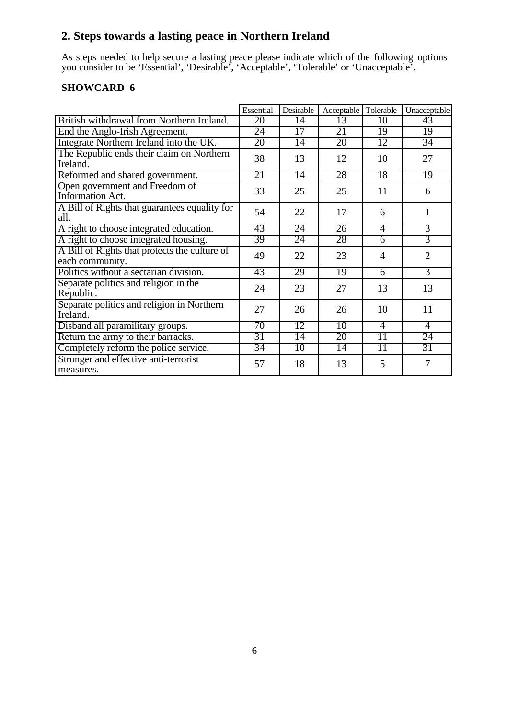# **2. Steps towards a lasting peace in Northern Ireland**

As steps needed to help secure a lasting peace please indicate which of the following options you consider to be 'Essential', 'Desirable', 'Acceptable', 'Tolerable' or 'Unacceptable'.

|                                                                  | Essential       | Desirable       | Acceptable      | Tolerable       | Unacceptable   |
|------------------------------------------------------------------|-----------------|-----------------|-----------------|-----------------|----------------|
| British withdrawal from Northern Ireland.                        | 20              | 14              | 13              | 10              | 43             |
| End the Anglo-Irish Agreement.                                   | 24              | 17              | 21              | 19              | 19             |
| Integrate Northern Ireland into the UK.                          | 20              | $\overline{14}$ | 20              | 12              | 34             |
| The Republic ends their claim on Northern<br>Ireland.            | 38              | 13              | 12              | 10              | 27             |
| Reformed and shared government.                                  | 21              | 14              | 28              | 18              | 19             |
| Open government and Freedom of<br>Information Act.               | 33              | 25              | 25              | 11              | 6              |
| A Bill of Rights that guarantees equality for<br>all.            | 54              | 22              | 17              | 6               | 1              |
| A right to choose integrated education.                          | 43              | $\overline{24}$ | $\overline{26}$ | $\overline{4}$  | $\overline{3}$ |
| A right to choose integrated housing.                            | 39              | 24              | 28              | 6               | $\overline{3}$ |
| A Bill of Rights that protects the culture of<br>each community. | 49              | 22              | 23              | 4               | $\overline{2}$ |
| Politics without a sectarian division.                           | 43              | 29              | $\overline{19}$ | 6               | $\overline{3}$ |
| Separate politics and religion in the<br>Republic.               | 24              | 23              | 27              | 13              | 13             |
| Separate politics and religion in Northern<br>Ireland.           | 27              | 26              | 26              | 10              | 11             |
| Disband all paramilitary groups.                                 | 70              | $\overline{12}$ | $\overline{10}$ | 4               | $\overline{4}$ |
| Return the army to their barracks.                               | 31              | $\overline{14}$ | 20              | $\overline{11}$ | 24             |
| Completely reform the police service.                            | $\overline{34}$ | 10              | 14              | 11              | 31             |
| Stronger and effective anti-terrorist<br>measures.               | 57              | 18              | 13              | 5               | 7              |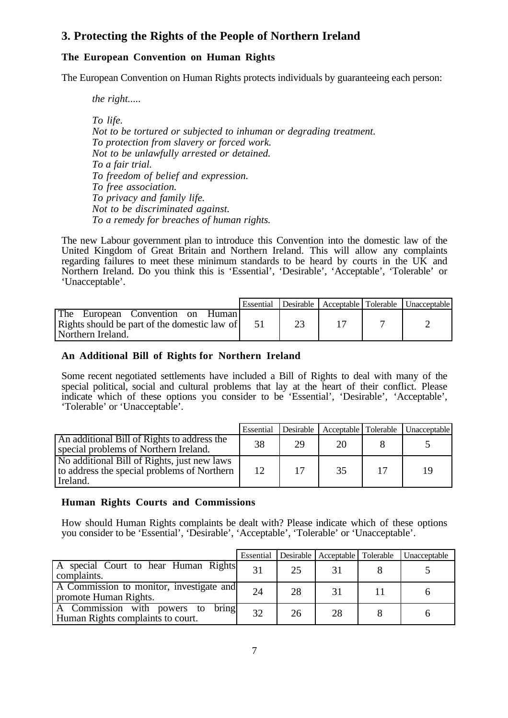# **3. Protecting the Rights of the People of Northern Ireland**

### **The European Convention on Human Rights**

The European Convention on Human Rights protects individuals by guaranteeing each person:

*the right.....*

*To life.*

*Not to be tortured or subjected to inhuman or degrading treatment. To protection from slavery or forced work. Not to be unlawfully arrested or detained. To a fair trial. To freedom of belief and expression. To free association. To privacy and family life. Not to be discriminated against. To a remedy for breaches of human rights.*

The new Labour government plan to introduce this Convention into the domestic law of the United Kingdom of Great Britain and Northern Ireland. This will allow any complaints regarding failures to meet these minimum standards to be heard by courts in the UK and Northern Ireland. Do you think this is 'Essential', 'Desirable', 'Acceptable', 'Tolerable' or 'Unacceptable'.

|                                                                                                                    | Essential |  | Desirable   Acceptable   Tolerable   Unacceptable |
|--------------------------------------------------------------------------------------------------------------------|-----------|--|---------------------------------------------------|
| The<br>European Convention on<br><b>Human</b><br>Rights should be part of the domestic law of<br>Northern Ireland. |           |  |                                                   |

#### **An Additional Bill of Rights for Northern Ireland**

Some recent negotiated settlements have included a Bill of Rights to deal with many of the special political, social and cultural problems that lay at the heart of their conflict. Please indicate which of these options you consider to be 'Essential', 'Desirable', 'Acceptable', 'Tolerable' or 'Unacceptable'.

|                                                                                                        | Essential | Desirable | Acceptable Tolerable |    | Unacceptable |
|--------------------------------------------------------------------------------------------------------|-----------|-----------|----------------------|----|--------------|
| An additional Bill of Rights to address the<br>special problems of Northern Ireland.                   | 38        | 29        | 20                   |    |              |
| No additional Bill of Rights, just new laws<br>to address the special problems of Northern<br>Ireland. | 12        | 17        | 35                   | 17 | 19           |

#### **Human Rights Courts and Commissions**

How should Human Rights complaints be dealt with? Please indicate which of these options you consider to be 'Essential', 'Desirable', 'Acceptable', 'Tolerable' or 'Unacceptable'.

|                                                                           | Essential |    | Desirable Acceptable Tolerable | Unacceptable |
|---------------------------------------------------------------------------|-----------|----|--------------------------------|--------------|
| A special Court to hear Human Rights<br>complaints.                       | 31        | 25 |                                |              |
| A Commission to monitor, investigate and<br>promote Human Rights.         | 24        | 28 | 31                             |              |
| A Commission with powers to<br>bring<br>Human Rights complaints to court. | 32        | 26 | 28                             |              |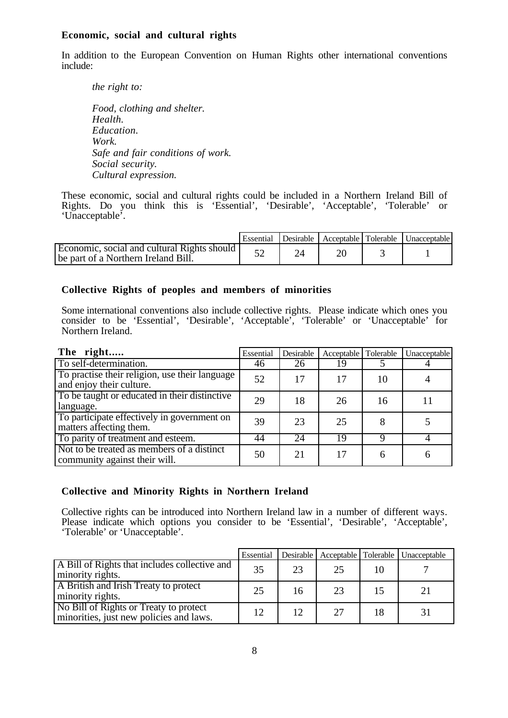#### **Economic, social and cultural rights**

In addition to the European Convention on Human Rights other international conventions include:

*the right to: Food, clothing and shelter. Health. Education. Work. Safe and fair conditions of work. Social security. Cultural expression.*

These economic, social and cultural rights could be included in a Northern Ireland Bill of Rights. Do you think this is 'Essential', 'Desirable', 'Acceptable', 'Tolerable' or 'Unacceptable'.

|                                                                                      | Essential | Desirable |  | Acceptable Tolerable Unacceptable |
|--------------------------------------------------------------------------------------|-----------|-----------|--|-----------------------------------|
| Economic, social and cultural Rights should  <br>be part of a Northern Ireland Bill. |           |           |  |                                   |

#### **Collective Rights of peoples and members of minorities**

Some international conventions also include collective rights. Please indicate which ones you consider to be 'Essential', 'Desirable', 'Acceptable', 'Tolerable' or 'Unacceptable' for Northern Ireland.

| The right                                                                   | Essential | Desirable | Acceptable   Tolerable |    | Unacceptable |
|-----------------------------------------------------------------------------|-----------|-----------|------------------------|----|--------------|
| To self-determination.                                                      | 46        | 26        | 19                     |    |              |
| To practise their religion, use their language<br>and enjoy their culture.  | 52        | 17        | 17                     | 10 |              |
| To be taught or educated in their distinctive<br>language.                  | 29        | 18        | 26                     | 16 |              |
| To participate effectively in government on<br>matters affecting them.      | 39        | 23        | 25                     |    |              |
| To parity of treatment and esteem.                                          | 44        | 24        | 19                     |    |              |
| Not to be treated as members of a distinct<br>community against their will. | 50        | 21        | 17                     |    |              |

#### **Collective and Minority Rights in Northern Ireland**

Collective rights can be introduced into Northern Ireland law in a number of different ways. Please indicate which options you consider to be 'Essential', 'Desirable', 'Acceptable', 'Tolerable' or 'Unacceptable'.

|                                                                                   | Essential | <b>Desirable</b> |    |    | Acceptable   Tolerable   Unacceptable |
|-----------------------------------------------------------------------------------|-----------|------------------|----|----|---------------------------------------|
| A Bill of Rights that includes collective and<br>minority rights.                 | 35        | 23               | 25 |    |                                       |
| A British and Irish Treaty to protect<br>minority rights.                         | 25        | 16               | 23 |    | 21                                    |
| No Bill of Rights or Treaty to protect<br>minorities, just new policies and laws. | 12        | 12               | 27 | 18 |                                       |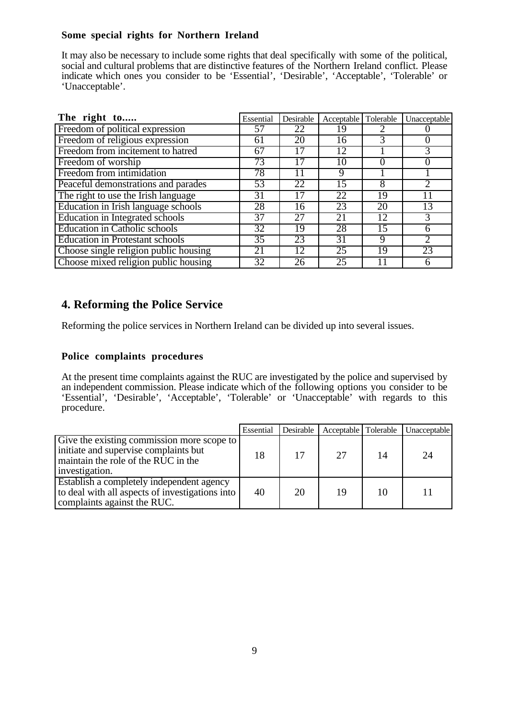#### **Some special rights for Northern Ireland**

It may also be necessary to include some rights that deal specifically with some of the political, social and cultural problems that are distinctive features of the Northern Ireland conflict. Please indicate which ones you consider to be 'Essential', 'Desirable', 'Acceptable', 'Tolerable' or 'Unacceptable'.

| The right to                               | Essential       | Desirable | Acceptable Tolerable |                 | Unacceptable |
|--------------------------------------------|-----------------|-----------|----------------------|-----------------|--------------|
| Freedom of political expression            | 57              | 22        | 19                   |                 |              |
| Freedom of religious expression            | 61              | 20        | 16                   | 3               |              |
| Freedom from incitement to hatred          | 67              | 17        | 12                   |                 |              |
| Freedom of worship                         | 73              | 17        | 10                   | $\theta$        | $\theta$     |
| Freedom from intimidation                  | 78              | 11        | 9                    |                 |              |
| Peaceful demonstrations and parades        | 53              | 22        | 15                   | 8               |              |
| The right to use the Irish language        | 31              | 17        | 22                   | $1\overline{9}$ |              |
| <b>Education in Irish language schools</b> | 28              | 16        | 23                   | 20              | 13           |
| <b>Education in Integrated schools</b>     | 37              | 27        | 21                   | 12              | 3            |
| <b>Education in Catholic schools</b>       | $\overline{32}$ | 19        | 28                   | 15              | 6            |
| <b>Education in Protestant schools</b>     | $\overline{35}$ | 23        | 31                   | 9               |              |
| Choose single religion public housing      | 21              | 12        | 25                   | 19              | 23           |
| Choose mixed religion public housing       | 32              | 26        | 25                   |                 | 6            |

# **4. Reforming the Police Service**

Reforming the police services in Northern Ireland can be divided up into several issues.

#### **Police complaints procedures**

At the present time complaints against the RUC are investigated by the police and supervised by an independent commission. Please indicate which of the following options you consider to be 'Essential', 'Desirable', 'Acceptable', 'Tolerable' or 'Unacceptable' with regards to this procedure.

|                                                                                                                                              | Essential | Desirable | Acceptable   Tolerable |    | Unacceptable |
|----------------------------------------------------------------------------------------------------------------------------------------------|-----------|-----------|------------------------|----|--------------|
| Give the existing commission more scope to<br>initiate and supervise complaints but<br>maintain the role of the RUC in the<br>investigation. | 18        | 17        | 27                     | 14 | 24           |
| Establish a completely independent agency<br>to deal with all aspects of investigations into<br>complaints against the RUC.                  | 40        | 20        | 19                     | 10 |              |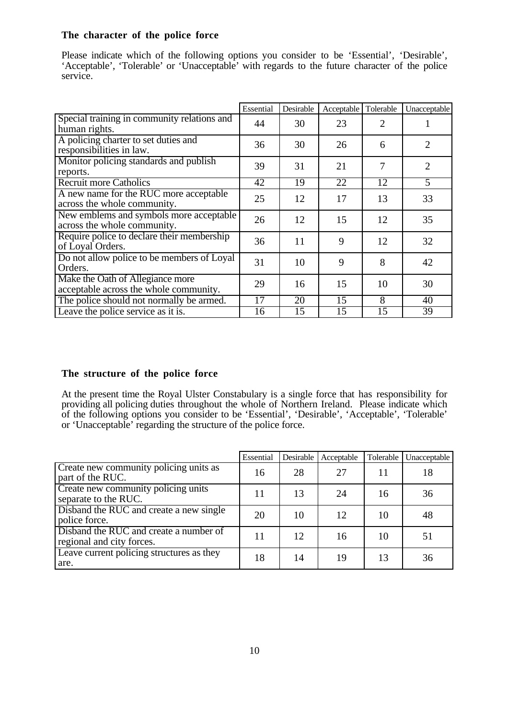#### **The character of the police force**

Please indicate which of the following options you consider to be 'Essential', 'Desirable', 'Acceptable', 'Tolerable' or 'Unacceptable' with regards to the future character of the police service.

|                                                                            | Essential | Desirable       | Acceptable | Tolerable      | Unacceptable   |
|----------------------------------------------------------------------------|-----------|-----------------|------------|----------------|----------------|
| Special training in community relations and<br>human rights.               | 44        | 30              | 23         | 2              |                |
| A policing charter to set duties and<br>responsibilities in law.           | 36        | 30              | 26         | 6              | $\overline{2}$ |
| Monitor policing standards and publish<br>reports.                         | 39        | 31              | 21         | $\overline{7}$ | $\overline{2}$ |
| <b>Recruit more Catholics</b>                                              | 42        | $\overline{19}$ | 22         | 12             | 5              |
| A new name for the RUC more acceptable<br>across the whole community.      | 25        | 12              | 17         | 13             | 33             |
| New emblems and symbols more acceptable<br>across the whole community.     | 26        | 12              | 15         | 12             | 35             |
| Require police to declare their membership<br>of Loyal Orders.             | 36        | 11              | 9          | 12             | 32             |
| Do not allow police to be members of Loyal<br>Orders.                      | 31        | 10              | 9          | 8              | 42             |
| Make the Oath of Allegiance more<br>acceptable across the whole community. | 29        | 16              | 15         | 10             | 30             |
| The police should not normally be armed.                                   | 17        | 20              | 15         | 8              | 40             |
| Leave the police service as it is.                                         | 16        | 15              | 15         | 15             | 39             |

#### **The structure of the police force**

At the present time the Royal Ulster Constabulary is a single force that has responsibility for providing all policing duties throughout the whole of Northern Ireland. Please indicate which of the following options you consider to be 'Essential', 'Desirable', 'Acceptable', 'Tolerable' or 'Unacceptable' regarding the structure of the police force.

|                                                                     | Essential | Desirable | Acceptable | Tolerable | Unacceptable |
|---------------------------------------------------------------------|-----------|-----------|------------|-----------|--------------|
| Create new community policing units as<br>part of the RUC.          | 16        | 28        | 27         | 11        | 18           |
| Create new community policing units<br>separate to the RUC.         | 11        | 13        | 24         | 16        | 36           |
| Disband the RUC and create a new single<br>police force.            | 20        | 10        | 12         | 10        | 48           |
| Disband the RUC and create a number of<br>regional and city forces. | 11        | 12        | 16         | 10        | 51           |
| Leave current policing structures as they<br>are.                   | 18        | 14        | 19         | 13        | 36           |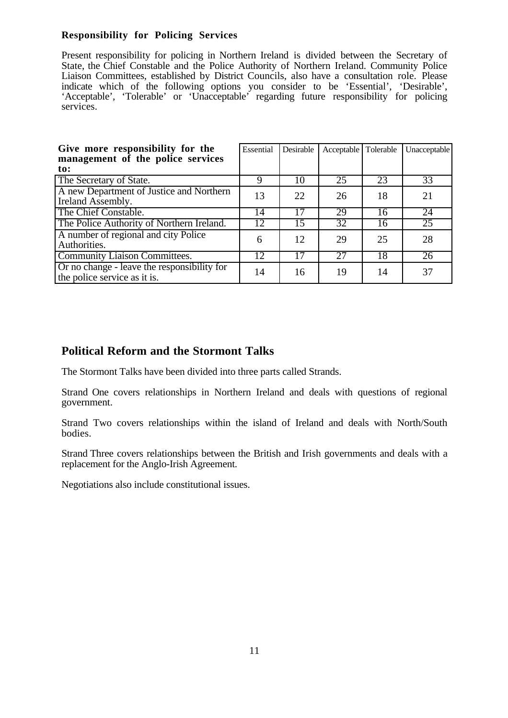#### **Responsibility for Policing Services**

Present responsibility for policing in Northern Ireland is divided between the Secretary of State, the Chief Constable and the Police Authority of Northern Ireland. Community Police Liaison Committees, established by District Councils, also have a consultation role. Please indicate which of the following options you consider to be 'Essential', 'Desirable', 'Acceptable', 'Tolerable' or 'Unacceptable' regarding future responsibility for policing services.

| Give more responsibility for the<br>management of the police services       | Essential | Desirable | Acceptable   Tolerable |    | Unacceptable    |
|-----------------------------------------------------------------------------|-----------|-----------|------------------------|----|-----------------|
| to:                                                                         |           |           |                        |    |                 |
| The Secretary of State.                                                     | 9         | 10        | 25                     | 23 | 33              |
| A new Department of Justice and Northern<br>Ireland Assembly.               | 13        | 22        | 26                     | 18 | 21              |
| The Chief Constable.                                                        | 14        | 17        | 29                     | 16 | 24              |
| The Police Authority of Northern Ireland.                                   | 12        | 15        | $\overline{32}$        | 16 | 25              |
| A number of regional and city Police<br>Authorities.                        | 6         | 12        | 29                     | 25 | 28              |
| <b>Community Liaison Committees.</b>                                        | 12        | 17        | 27                     | 18 | $\overline{26}$ |
| Or no change - leave the responsibility for<br>the police service as it is. | 14        | 16        | 19                     | 14 | 37              |

# **Political Reform and the Stormont Talks**

The Stormont Talks have been divided into three parts called Strands.

Strand One covers relationships in Northern Ireland and deals with questions of regional government.

Strand Two covers relationships within the island of Ireland and deals with North/South bodies.

Strand Three covers relationships between the British and Irish governments and deals with a replacement for the Anglo-Irish Agreement.

Negotiations also include constitutional issues.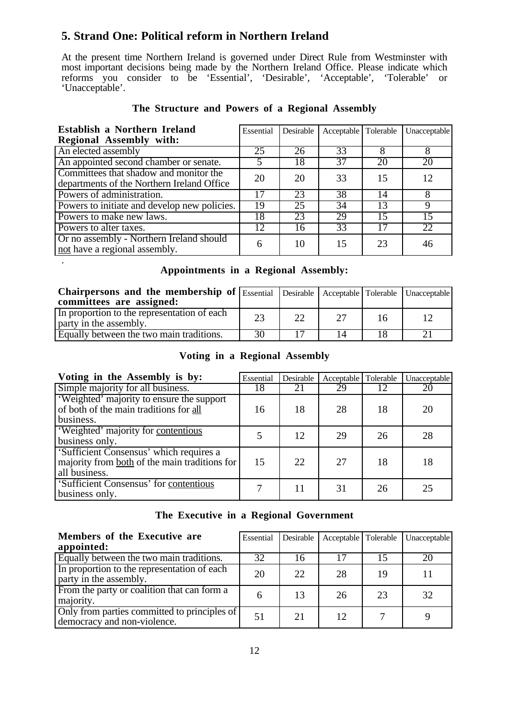# **5. Strand One: Political reform in Northern Ireland**

.

At the present time Northern Ireland is governed under Direct Rule from Westminster with most important decisions being made by the Northern Ireland Office. Please indicate which reforms you consider to be 'Essential', 'Desirable', 'Acceptable', 'Tolerable' or 'Unacceptable'.

| Establish a Northern Ireland                                                         | Essential | Desirable       | Acceptable   Tolerable |    | Unacceptable |
|--------------------------------------------------------------------------------------|-----------|-----------------|------------------------|----|--------------|
| <b>Regional Assembly with:</b>                                                       |           |                 |                        |    |              |
| An elected assembly                                                                  | 25        | 26              | 33                     | 8  | 8            |
| An appointed second chamber or senate.                                               |           | 18              | 37                     | 20 | 20           |
| Committees that shadow and monitor the<br>departments of the Northern Ireland Office | 20        | 20              | 33                     | 15 | 12           |
| Powers of administration.                                                            |           | 23              | 38                     | 14 |              |
| Powers to initiate and develop new policies.                                         | 19        | $\overline{25}$ | 34                     | 13 | 9            |
| Powers to make new laws.                                                             | 18        | 23              | 29                     | 15 | 15           |
| Powers to alter taxes.                                                               | 12        | 16              | 33                     |    | 22           |
| Or no assembly - Northern Ireland should<br>not have a regional assembly.            | 6         | 10              | 15                     | 23 | 46           |

#### **The Structure and Powers of a Regional Assembly**

#### **Appointments in a Regional Assembly:**

| Chairpersons and the membership of Essential Desirable   Acceptable   Tolerable   Unacceptable  <br>committees are assigned: |    |    |    |  |
|------------------------------------------------------------------------------------------------------------------------------|----|----|----|--|
| In proportion to the representation of each<br>party in the assembly.                                                        | 23 | 22 | 16 |  |
| Equally between the two main traditions.                                                                                     | 30 |    |    |  |

#### **Voting in a Regional Assembly**

| Voting in the Assembly is by:                                                                             | Essential | Desirable | Acceptable   Tolerable |    | Unacceptable |
|-----------------------------------------------------------------------------------------------------------|-----------|-----------|------------------------|----|--------------|
| Simple majority for all business.                                                                         | 18        | 21        | 29                     |    | 20           |
| 'Weighted' majority to ensure the support<br>of both of the main traditions for all<br>business.          | 16        | 18        | 28                     | 18 | 20           |
| 'Weighted' majority for contentious<br>business only.                                                     |           | 12        | 29                     | 26 | 28           |
| 'Sufficient Consensus' which requires a<br>majority from both of the main traditions for<br>all business. | 15        | 22        | 27                     | 18 | 18           |
| 'Sufficient Consensus' for contentious<br>business only.                                                  |           | 11        | 31                     | 26 | 25           |

#### **The Executive in a Regional Government**

| Members of the Executive are<br>appointed:                                  | Essential | Desirable | Acceptable Tolerable |    | Unacceptable |
|-----------------------------------------------------------------------------|-----------|-----------|----------------------|----|--------------|
| Equally between the two main traditions.                                    | 32        | 16        |                      | 15 | 20           |
| In proportion to the representation of each<br>party in the assembly.       | 20        | 22        | 28                   | 19 |              |
| From the party or coalition that can form a<br>majority.                    | 6         | 13        | 26                   | 23 | 32           |
| Only from parties committed to principles of<br>democracy and non-violence. | 51        | 21        | 12                   |    |              |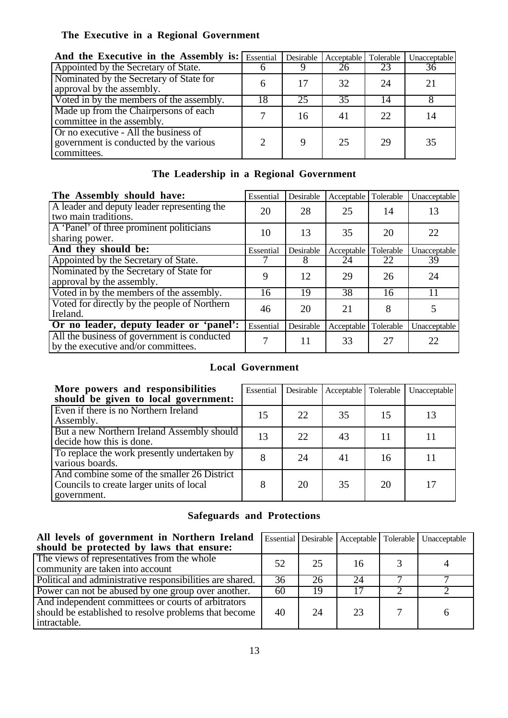# **The Executive in a Regional Government**

| And the Executive in the Assembly is: Essential                                                |    | Desirable | Acceptable | Tolerable | Unacceptable |
|------------------------------------------------------------------------------------------------|----|-----------|------------|-----------|--------------|
| Appointed by the Secretary of State.                                                           |    |           | 26         | 23        | 36           |
| Nominated by the Secretary of State for<br>approval by the assembly.                           |    | 17        | 32         | 24        | 21           |
| Voted in by the members of the assembly.                                                       | 18 | 25        | 35         | 14        |              |
| Made up from the Chairpersons of each<br>committee in the assembly.                            |    | 16        | 41         | 22.       | 14           |
| Or no executive - All the business of<br>government is conducted by the various<br>committees. |    |           | 25         | 29        | 35           |

# **The Leadership in a Regional Government**

| The Assembly should have:                                                          | Essential | Desirable | Acceptable | Tolerable | Unacceptable |
|------------------------------------------------------------------------------------|-----------|-----------|------------|-----------|--------------|
| A leader and deputy leader representing the<br>two main traditions.                | 20        | 28        | 25         | 14        | 13           |
| A 'Panel' of three prominent politicians<br>sharing power.                         | 10        | 13        | 35         | 20        | 22           |
| And they should be:                                                                | Essential | Desirable | Acceptable | Tolerable | Unacceptable |
| Appointed by the Secretary of State.                                               |           | 8         | 24         | 22        | 39           |
| Nominated by the Secretary of State for<br>approval by the assembly.               | 9         | 12        | 29         | 26        | 24           |
| Voted in by the members of the assembly.                                           | 16        | 19        | 38         | 16        | 11           |
| Voted for directly by the people of Northern<br>Ireland.                           | 46        | 20        | 21         | 8         |              |
| Or no leader, deputy leader or 'panel':                                            | Essential | Desirable | Acceptable | Tolerable | Unacceptable |
| All the business of government is conducted<br>by the executive and/or committees. |           | 11        | 33         | 27        | 22           |

#### **Local Government**

| More powers and responsibilities<br>should be given to local government:                               | Essential | Desirable | Acceptable | Tolerable | Unacceptable |
|--------------------------------------------------------------------------------------------------------|-----------|-----------|------------|-----------|--------------|
| Even if there is no Northern Ireland<br>Assembly.                                                      | 15        | 22        | 35         | 15        | 13           |
| But a new Northern Ireland Assembly should<br>decide how this is done.                                 | 13        | 22        | 43         | 11        |              |
| To replace the work presently undertaken by<br>various boards.                                         | 8         | 24        | 41         | 16        |              |
| And combine some of the smaller 26 District<br>Councils to create larger units of local<br>government. | 8         | 20        | 35         | 20        | 17           |

# **Safeguards and Protections**

| All levels of government in Northern Ireland<br>should be protected by laws that ensure:                                     |    |    |    | Essential Desirable   Acceptable   Tolerable   Unacceptable |
|------------------------------------------------------------------------------------------------------------------------------|----|----|----|-------------------------------------------------------------|
| The views of representatives from the whole<br>community are taken into account                                              | 52 | 25 | 16 |                                                             |
| Political and administrative responsibilities are shared.                                                                    | 36 | 26 | 24 |                                                             |
| Power can not be abused by one group over another.                                                                           | 60 | 19 |    |                                                             |
| And independent committees or courts of arbitrators<br>should be established to resolve problems that become<br>intractable. | 40 | 24 | 23 |                                                             |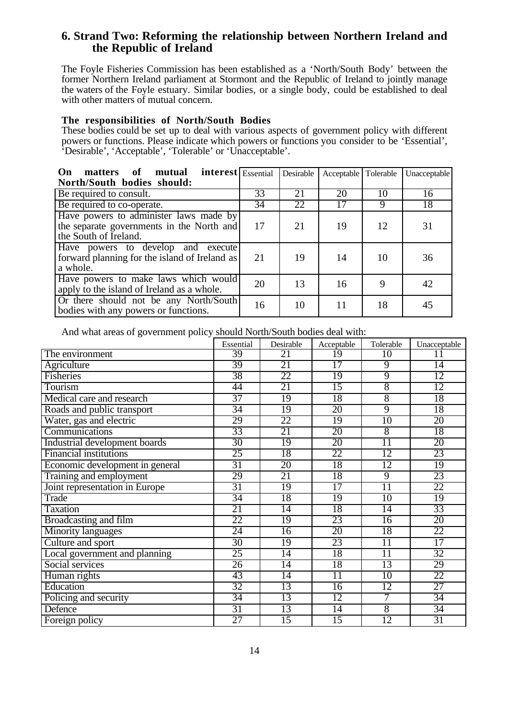### **6. Strand Two: Reforming the relationship between Northern Ireland and the Republic of Ireland**

The Foyle Fisheries Commission has been established as a 'North/South Body' between the former Northern Ireland parliament at Stormont and the Republic of Ireland to jointly manage the waters of the Foyle estuary. Similar bodies, or a single body, could be established to deal with other matters of mutual concern.

#### **The responsibilities of North/South Bodies**

These bodies could be set up to deal with various aspects of government policy with different powers or functions. Please indicate which powers or functions you consider to be 'Essential', 'Desirable', 'Acceptable', 'Tolerable' or 'Unacceptable'.

| <b>interest</b> Essential<br>matters of<br>mutual<br>On<br>North/South bodies should:                        |                 | Desirable | Acceptable Tolerable |    | Unacceptable |
|--------------------------------------------------------------------------------------------------------------|-----------------|-----------|----------------------|----|--------------|
| Be required to consult.                                                                                      | 33              | 21        | 20                   | 10 | 16           |
| Be required to co-operate.                                                                                   | $\overline{34}$ | 22        | 17                   | 9  | 18           |
| Have powers to administer laws made by<br>the separate governments in the North and<br>the South of Ireland. | 17              | 21        | 19                   | 12 | 31           |
| Have powers to develop and execute<br>forward planning for the island of Ireland as<br>a whole.              | 21              | 19        | 14                   | 10 | 36           |
| Have powers to make laws which would<br>apply to the island of Ireland as a whole.                           | 20              | 13        | 16                   | 9  | 42           |
| Or there should not be any North/South<br>bodies with any powers or functions.                               | 16              | 10        | 11                   | 18 | 45           |

And what areas of government policy should North/South bodies deal with:

|                                 | Essential       | Desirable       | Acceptable      | Tolerable       | Unacceptable |
|---------------------------------|-----------------|-----------------|-----------------|-----------------|--------------|
| The environment                 | 39              | 21              | 19              | 10              | 11           |
| Agriculture                     | 39              | 21              | 17              | 9               | 14           |
| Fisheries                       | 38              | 22              | 19              | 9               | 12           |
| Tourism                         | 44              | 21              | 15              | 8               | 12           |
| Medical care and research       | 37              | 19              | 18              | 8               | 18           |
| Roads and public transport      | 34              | 19              | 20              | 9               | 18           |
| Water, gas and electric         | 29              | 22              | $\overline{19}$ | $\overline{10}$ | 20           |
| Communications                  | 33              | 21              | 20              | $\overline{8}$  | 18           |
| Industrial development boards   | 30              | 19              | 20              | $\overline{11}$ | 20           |
| <b>Financial institutions</b>   | 25              | 18              | 22              | 12              | 23           |
| Economic development in general | 31              | 20              | 18              | 12              | 19           |
| Training and employment         | 29              | 21              | 18              | 9               | 23           |
| Joint representation in Europe  | 31              | 19              | 17              | $\overline{11}$ | 22           |
| Trade                           | 34              | 18              | 19              | 10              | 19           |
| <b>Taxation</b>                 | 21              | $\overline{14}$ | 18              | $\overline{14}$ | 33           |
| Broadcasting and film           | 22              | 19              | 23              | $\overline{16}$ | 20           |
| <b>Minority languages</b>       | 24              | 16              | 20              | 18              | 22           |
| Culture and sport               | 30              | 19              | 23              | $\overline{11}$ | 17           |
| Local government and planning   | 25              | $\overline{14}$ | 18              | $\overline{11}$ | 32           |
| Social services                 | 26              | 14              | 18              | 13              | 29           |
| Human rights                    | 43              | $\overline{14}$ | $\overline{11}$ | 10              | 22           |
| Education                       | 32              | 13              | $\overline{16}$ | 12              | 27           |
| Policing and security           | 34              | 13              | $\overline{12}$ | 7               | 34           |
| Defence                         | 31              | 13              | $\overline{14}$ | $\overline{8}$  | 34           |
| Foreign policy                  | $\overline{27}$ | $\overline{15}$ | 15              | 12              | 31           |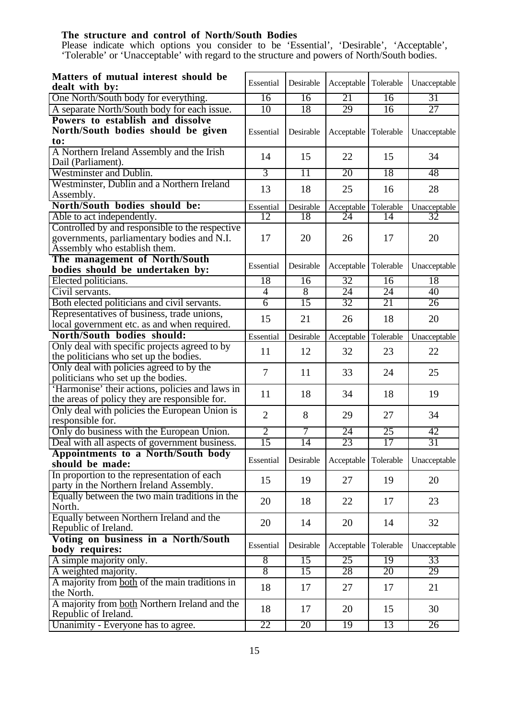#### **The structure and control of North/South Bodies**

Please indicate which options you consider to be 'Essential', 'Desirable', 'Acceptable', 'Tolerable' or 'Unacceptable' with regard to the structure and powers of North/South bodies.

| Matters of mutual interest should be                                                             | Essential       | Desirable       | Acceptable           | Tolerable       | Unacceptable |
|--------------------------------------------------------------------------------------------------|-----------------|-----------------|----------------------|-----------------|--------------|
| dealt with by:                                                                                   |                 |                 |                      |                 |              |
| One North/South body for everything.                                                             | 16              | 16              | 21                   | 16              | 31           |
| A separate North/South body for each issue.                                                      | 10              | 18              | 29                   | $\overline{16}$ | 27           |
| Powers to establish and dissolve<br>North/South bodies should be given<br>to:                    | Essential       | Desirable       | Acceptable           | Tolerable       | Unacceptable |
| A Northern Ireland Assembly and the Irish<br>Dail (Parliament).                                  | 14              | 15              | 22                   | 15              | 34           |
| Westminster and Dublin.                                                                          | $\overline{3}$  | $\overline{11}$ | 20                   | 18              | 48           |
| Westminster, Dublin and a Northern Ireland                                                       |                 |                 |                      |                 |              |
| Assembly.                                                                                        | 13              | 18              | 25                   | 16              | 28           |
| North/South bodies should be:                                                                    | Essential       | Desirable       | Acceptable           | Tolerable       | Unacceptable |
| Able to act independently.                                                                       | $\overline{12}$ | 18              | 24                   | 14              | 32           |
| Controlled by and responsible to the respective                                                  |                 |                 |                      |                 |              |
| governments, parliamentary bodies and N.I.<br>Assembly who establish them.                       | 17              | 20              | 26                   | 17              | 20           |
| The management of North/South<br>bodies should be undertaken by:                                 | Essential       | Desirable       | Acceptable Tolerable |                 | Unacceptable |
| Elected politicians.                                                                             | 18              | 16              | 32                   | 16              | 18           |
| Civil servants.                                                                                  | $\overline{4}$  | $\overline{8}$  | 24                   | 24              | 40           |
| Both elected politicians and civil servants.                                                     | $\overline{6}$  | 15              | 32                   | 21              | 26           |
| Representatives of business, trade unions,                                                       | 15              | 21              | 26                   | 18              | 20           |
| local government etc. as and when required.                                                      |                 |                 |                      |                 |              |
| North/South bodies should:                                                                       | Essential       | Desirable       | Acceptable Tolerable |                 | Unacceptable |
| Only deal with specific projects agreed to by<br>the politicians who set up the bodies.          | 11              | 12              | 32                   | 23              | 22           |
| Only deal with policies agreed to by the<br>politicians who set up the bodies.                   | 7               | 11              | 33                   | 24              | 25           |
| 'Harmonise' their actions, policies and laws in<br>the areas of policy they are responsible for. | 11              | 18              | 34                   | 18              | 19           |
| Only deal with policies the European Union is<br>responsible for.                                | $\overline{2}$  | 8               | 29                   | 27              | 34           |
| Only do business with the European Union.                                                        | $\overline{2}$  | 7               | 24                   | 25              | 42           |
| Deal with all aspects of government business.                                                    | 15              | 14              | 23                   | 17              | 31           |
| Appointments to a North/South body                                                               |                 |                 |                      |                 |              |
| should be made:                                                                                  | Essential       | Desirable       | Acceptable           | Tolerable       | Unacceptable |
| In proportion to the representation of each<br>party in the Northern Ireland Assembly.           | 15              | 19              | 27                   | 19              | 20           |
| Equally between the two main traditions in the<br>North.                                         | 20              | 18              | 22                   | 17              | 23           |
| Equally between Northern Ireland and the<br>Republic of Ireland.                                 | 20              | 14              | 20                   | 14              | 32           |
| Voting on business in a North/South<br>body requires:                                            | Essential       | Desirable       | Acceptable           | Tolerable       | Unacceptable |
| A simple majority only.                                                                          | $\overline{8}$  | 15              | 25                   | 19              | 33           |
| A weighted majority.                                                                             | $\overline{8}$  | $\overline{15}$ | 28                   | 20              | 29           |
| A majority from both of the main traditions in<br>the North.                                     | 18              | 17              | 27                   | 17              | 21           |
| A majority from both Northern Ireland and the<br>Republic of Ireland.                            | 18              | 17              | 20                   | 15              | 30           |
| Unanimity - Everyone has to agree.                                                               | 22              | 20              | 19                   | 13              | 26           |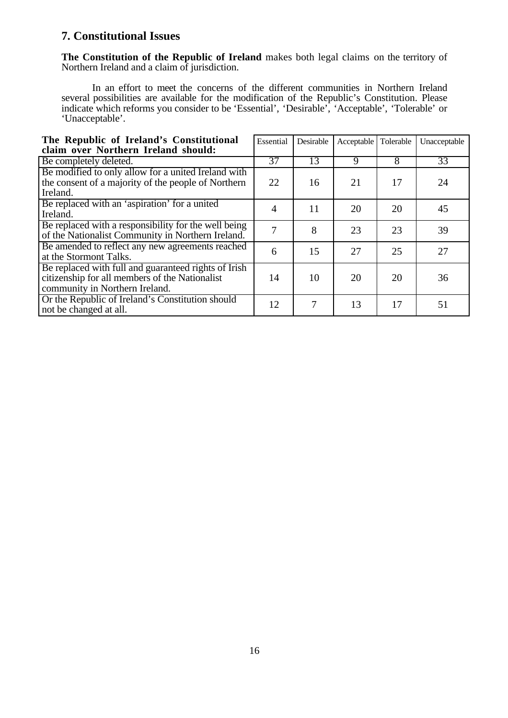# **7. Constitutional Issues**

**The Constitution of the Republic of Ireland** makes both legal claims on the territory of Northern Ireland and a claim of jurisdiction.

In an effort to meet the concerns of the different communities in Northern Ireland several possibilities are available for the modification of the Republic's Constitution. Please indicate which reforms you consider to be 'Essential', 'Desirable', 'Acceptable', 'Tolerable' or 'Unacceptable'.

| The Republic of Ireland's Constitutional<br>claim over Northern Ireland should:                                                          | Essential | Desirable | Acceptable | Tolerable | Unacceptable |
|------------------------------------------------------------------------------------------------------------------------------------------|-----------|-----------|------------|-----------|--------------|
| Be completely deleted.                                                                                                                   | 37        | 13        | 9          | 8         | 33           |
| Be modified to only allow for a united Ireland with<br>the consent of a majority of the people of Northern<br>Ireland.                   | 22        | 16        | 21         | 17        | 24           |
| Be replaced with an 'aspiration' for a united<br>Ireland.                                                                                | 4         | 11        | 20         | 20        | 45           |
| Be replaced with a responsibility for the well being<br>of the Nationalist Community in Northern Ireland.                                | 7         | 8         | 23         | 23        | 39           |
| Be amended to reflect any new agreements reached<br>at the Stormont Talks.                                                               | 6         | 15        | 27         | 25        | 27           |
| Be replaced with full and guaranteed rights of Irish<br>citizenship for all members of the Nationalist<br>community in Northern Ireland. | 14        | 10        | 20         | 20        | 36           |
| Or the Republic of Ireland's Constitution should<br>not be changed at all.                                                               | 12        | 7         | 13         | 17        | 51           |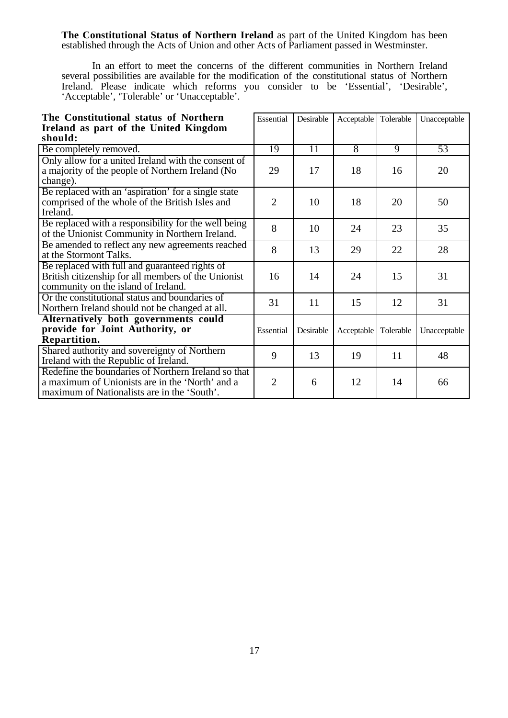**The Constitutional Status of Northern Ireland** as part of the United Kingdom has been established through the Acts of Union and other Acts of Parliament passed in Westminster.

In an effort to meet the concerns of the different communities in Northern Ireland several possibilities are available for the modification of the constitutional status of Northern Ireland. Please indicate which reforms you consider to be 'Essential', 'Desirable', 'Acceptable', 'Tolerable' or 'Unacceptable'.

| The Constitutional status of Northern                                                                                                                 | Essential      | Desirable | Acceptable Tolerable   |    | Unacceptable |
|-------------------------------------------------------------------------------------------------------------------------------------------------------|----------------|-----------|------------------------|----|--------------|
| Ireland as part of the United Kingdom                                                                                                                 |                |           |                        |    |              |
| should:                                                                                                                                               |                |           |                        |    |              |
| Be completely removed.                                                                                                                                | 19             | 11        | $\overline{8}$         | 9  | 53           |
| Only allow for a united Ireland with the consent of<br>a majority of the people of Northern Ireland (No<br>change).                                   | 29             | 17        | 18                     | 16 | 20           |
| Be replaced with an 'aspiration' for a single state<br>comprised of the whole of the British Isles and<br>Ireland.                                    | $\overline{2}$ | 10        | 18                     | 20 | 50           |
| Be replaced with a responsibility for the well being<br>of the Unionist Community in Northern Ireland.                                                | 8              | 10        | 24                     | 23 | 35           |
| Be amended to reflect any new agreements reached<br>at the Stormont Talks.                                                                            | 8              | 13        | 29                     | 22 | 28           |
| Be replaced with full and guaranteed rights of<br>British citizenship for all members of the Unionist<br>community on the island of Ireland.          | 16             | 14        | 24                     | 15 | 31           |
| Or the constitutional status and boundaries of<br>Northern Ireland should not be changed at all.                                                      | 31             | 11        | 15                     | 12 | 31           |
| Alternatively both governments could<br>provide for Joint Authority, or<br>Repartition.                                                               | Essential      | Desirable | Acceptable   Tolerable |    | Unacceptable |
| Shared authority and sovereignty of Northern<br>Ireland with the Republic of Ireland.                                                                 | 9              | 13        | 19                     | 11 | 48           |
| Redefine the boundaries of Northern Ireland so that<br>a maximum of Unionists are in the 'North' and a<br>maximum of Nationalists are in the 'South'. | $\overline{2}$ | 6         | 12                     | 14 | 66           |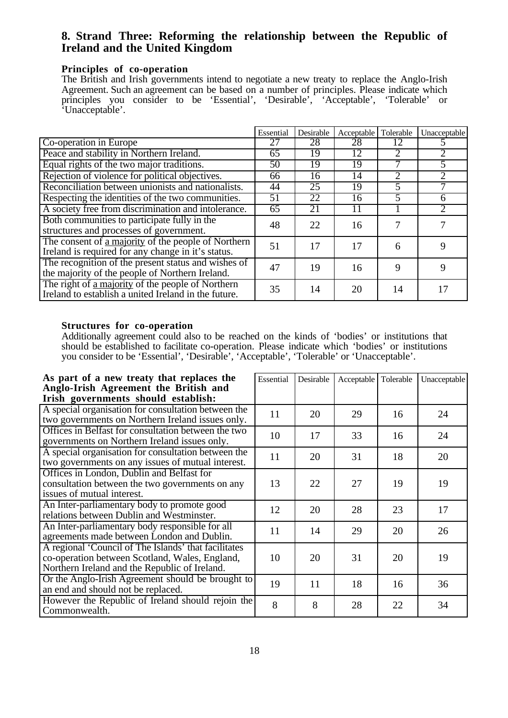## **8. Strand Three: Reforming the relationship between the Republic of Ireland and the United Kingdom**

#### **Principles of co-operation**

The British and Irish governments intend to negotiate a new treaty to replace the Anglo-Irish Agreement. Such an agreement can be based on a number of principles. Please indicate which principles you consider to be 'Essential', 'Desirable', 'Acceptable', 'Tolerable' or 'Unacceptable'.

|                                                                                                                  | Essential | Desirable | Acceptable | Tolerable | Unacceptable |
|------------------------------------------------------------------------------------------------------------------|-----------|-----------|------------|-----------|--------------|
| Co-operation in Europe                                                                                           | 27        | 28        | 28         | 12        |              |
| Peace and stability in Northern Ireland.                                                                         | 65        | 19        | 12         |           | 2            |
| Equal rights of the two major traditions.                                                                        | 50        | 19        | 19         |           | 5            |
| Rejection of violence for political objectives.                                                                  | 66        | 16        | 14         | റ         |              |
| Reconciliation between unionists and nationalists.                                                               | 44        | 25        | 19         |           |              |
| Respecting the identities of the two communities.                                                                | 51        | 22        | 16         | 5         | 6            |
| A society free from discrimination and intolerance.                                                              | 65        | 21        | 11         |           |              |
| Both communities to participate fully in the<br>structures and processes of government.                          | 48        | 22        | 16         |           |              |
| The consent of <u>a majority</u> of the people of Northern<br>Ireland is required for any change in it's status. | 51        | 17        | 17         | 6         | 9            |
| The recognition of the present status and wishes of<br>the majority of the people of Northern Ireland.           | 47        | 19        | 16         | 9         | 9            |
| The right of <u>a majority</u> of the people of Northern<br>Ireland to establish a united Ireland in the future. | 35        | 14        | 20         | 14        | 17           |

#### **Structures for co-operation**

Additionally agreement could also to be reached on the kinds of 'bodies' or institutions that should be established to facilitate co-operation. Please indicate which 'bodies' or institutions you consider to be 'Essential', 'Desirable', 'Acceptable', 'Tolerable' or 'Unacceptable'.

| As part of a new treaty that replaces the<br>Anglo-Irish Agreement the British and<br>Irish governments should establish:                               | Essential | Desirable | Acceptable Tolerable |    | Unacceptable |
|---------------------------------------------------------------------------------------------------------------------------------------------------------|-----------|-----------|----------------------|----|--------------|
| A special organisation for consultation between the<br>two governments on Northern Ireland issues only.                                                 | 11        | 20        | 29                   | 16 | 24           |
| Offices in Belfast for consultation between the two<br>governments on Northern Ireland issues only.                                                     | 10        | 17        | 33                   | 16 | 24           |
| A special organisation for consultation between the<br>two governments on any issues of mutual interest.                                                | 11        | 20        | 31                   | 18 | 20           |
| Offices in London, Dublin and Belfast for<br>consultation between the two governments on any<br>issues of mutual interest.                              | 13        | 22        | 27                   | 19 | 19           |
| An Inter-parliamentary body to promote good<br>relations between Dublin and Westminster.                                                                | 12        | 20        | 28                   | 23 | 17           |
| An Inter-parliamentary body responsible for all<br>agreements made between London and Dublin.                                                           | 11        | 14        | 29                   | 20 | 26           |
| A regional 'Council of The Islands' that facilitates<br>co-operation between Scotland, Wales, England,<br>Northern Ireland and the Republic of Ireland. | 10        | 20        | 31                   | 20 | 19           |
| Or the Anglo-Irish Agreement should be brought to<br>an end and should not be replaced.                                                                 | 19        | 11        | 18                   | 16 | 36           |
| However the Republic of Ireland should rejoin the<br>Commonwealth.                                                                                      | 8         | 8         | 28                   | 22 | 34           |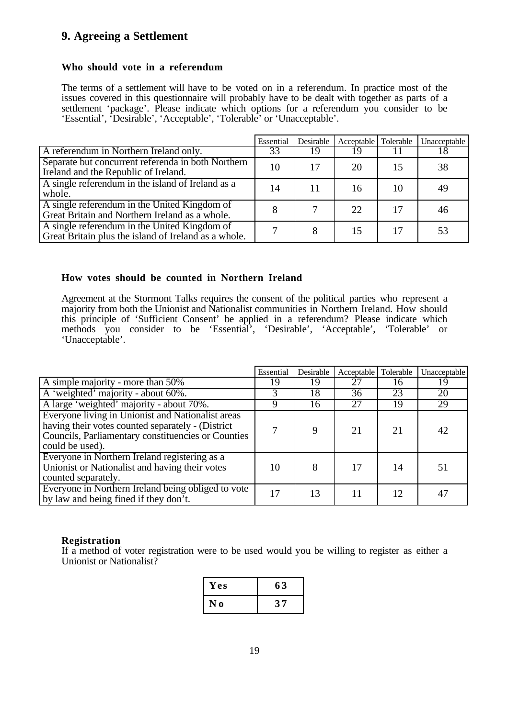# **9. Agreeing a Settlement**

#### **Who should vote in a referendum**

The terms of a settlement will have to be voted on in a referendum. In practice most of the issues covered in this questionnaire will probably have to be dealt with together as parts of a settlement 'package'. Please indicate which options for a referendum you consider to be 'Essential', 'Desirable', 'Acceptable', 'Tolerable' or 'Unacceptable'.

|                                                                                                      | Essential | Desirable | Acceptable   Tolerable |    | Unacceptable |
|------------------------------------------------------------------------------------------------------|-----------|-----------|------------------------|----|--------------|
| A referendum in Northern Ireland only.                                                               | 33        | 19        | 19                     |    | 18           |
| Separate but concurrent referenda in both Northern<br>Ireland and the Republic of Ireland.           | 10        | 17        | 20                     | 15 | 38           |
| A single referendum in the island of Ireland as a<br>whole.                                          | 14        |           | 16                     | 10 | 49           |
| A single referendum in the United Kingdom of<br>Great Britain and Northern Ireland as a whole.       |           |           | 22                     | 17 | 46           |
| A single referendum in the United Kingdom of<br>Great Britain plus the island of Ireland as a whole. |           |           | 15                     | 17 | 53           |

#### **How votes should be counted in Northern Ireland**

Agreement at the Stormont Talks requires the consent of the political parties who represent a majority from both the Unionist and Nationalist communities in Northern Ireland. How should this principle of 'Sufficient Consent' be applied in a referendum? Please indicate which methods you consider to be 'Essential', 'Desirable', 'Acceptable', 'Tolerable' or 'Unacceptable'.

|                                                                                                                                                                                 | Essential | Desirable       | Acceptable   Tolerable |    | Unacceptable |  |
|---------------------------------------------------------------------------------------------------------------------------------------------------------------------------------|-----------|-----------------|------------------------|----|--------------|--|
| A simple majority - more than 50%                                                                                                                                               | 19        | 19              | 27                     | 16 | 19           |  |
| A 'weighted' majority - about 60%.                                                                                                                                              |           | $1\overline{8}$ | 36                     | 23 | 20           |  |
| A large 'weighted' majority - about 70%.                                                                                                                                        |           | 16              | 27                     | 19 | 29           |  |
| Everyone living in Unionist and Nationalist areas<br>having their votes counted separately - (District<br>Councils, Parliamentary constituencies or Counties<br>could be used). |           | $\mathbf Q$     | 21                     | 21 | 42           |  |
| Everyone in Northern Ireland registering as a<br>Unionist or Nationalist and having their votes<br>counted separately.                                                          | 10        | 8               | 17                     | 14 | 51           |  |
| Everyone in Northern Ireland being obliged to vote<br>by law and being fined if they don't.                                                                                     | 17        | 13              | 11                     | 12 | 47           |  |

#### **Registration**

If a method of voter registration were to be used would you be willing to register as either a Unionist or Nationalist?

| Yes         | 63            |
|-------------|---------------|
| $\mathbf 0$ | $\sim$ $\sim$ |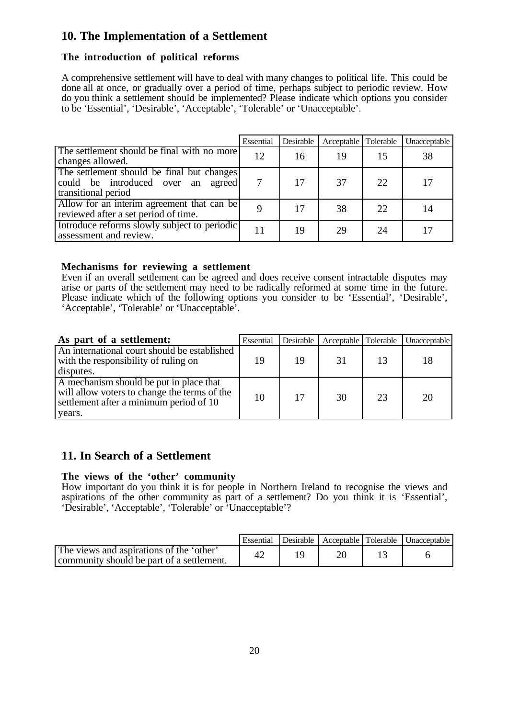# **10. The Implementation of a Settlement**

#### **The introduction of political reforms**

A comprehensive settlement will have to deal with many changes to political life. This could be done all at once, or gradually over a period of time, perhaps subject to periodic review. How do you think a settlement should be implemented? Please indicate which options you consider to be 'Essential', 'Desirable', 'Acceptable', 'Tolerable' or 'Unacceptable'.

|                                                                                                            | Essential | Desirable | Acceptable   Tolerable |     | Unacceptable |
|------------------------------------------------------------------------------------------------------------|-----------|-----------|------------------------|-----|--------------|
| The settlement should be final with no more<br>changes allowed.                                            | 12        | 16        | 19                     | 15  | 38           |
| The settlement should be final but changes<br>could be introduced over an<br>agreed<br>transitional period | 7         | 17        | 37                     | 22. | 17           |
| Allow for an interim agreement that can be<br>reviewed after a set period of time.                         | 9         | 17        | 38                     | 22  | 14           |
| Introduce reforms slowly subject to periodic<br>assessment and review.                                     | 11        | 19        | 29                     | 24  | 17           |

#### **Mechanisms for reviewing a settlement**

Even if an overall settlement can be agreed and does receive consent intractable disputes may arise or parts of the settlement may need to be radically reformed at some time in the future. Please indicate which of the following options you consider to be 'Essential', 'Desirable', 'Acceptable', 'Tolerable' or 'Unacceptable'.

| As part of a settlement:                                                                                                                     | Essential | Desirable | Acceptable Tolerable |    | Unacceptable |
|----------------------------------------------------------------------------------------------------------------------------------------------|-----------|-----------|----------------------|----|--------------|
| An international court should be established<br>with the responsibility of ruling on<br>disputes.                                            | 19        | 19        | 31                   | 13 | 18           |
| A mechanism should be put in place that<br>will allow voters to change the terms of the<br>settlement after a minimum period of 10<br>years. | 10        | 17        | 30                   | 23 | 20           |

# **11. In Search of a Settlement**

#### **The views of the 'other' community**

How important do you think it is for people in Northern Ireland to recognise the views and aspirations of the other community as part of a settlement? Do you think it is 'Essential', 'Desirable', 'Acceptable', 'Tolerable' or 'Unacceptable'?

|                                                                                       | Essential | Desirable | Acceptable Tolerable | Unacceptable |
|---------------------------------------------------------------------------------------|-----------|-----------|----------------------|--------------|
| The views and aspirations of the 'other'<br>community should be part of a settlement. | 42        |           |                      |              |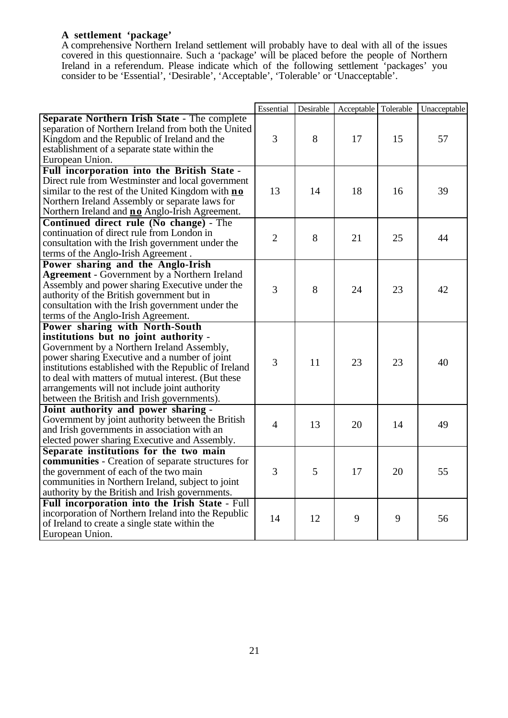### **A settlement 'package'**

A comprehensive Northern Ireland settlement will probably have to deal with all of the issues covered in this questionnaire. Such a 'package' will be placed before the people of Northern Ireland in a referendum. Please indicate which of the following settlement 'packages' you consider to be 'Essential', 'Desirable', 'Acceptable', 'Tolerable' or 'Unacceptable'.

|                                                       | Essential      | Desirable | Acceptable | Tolerable | Unacceptable |
|-------------------------------------------------------|----------------|-----------|------------|-----------|--------------|
| Separate Northern Irish State - The complete          |                |           |            |           |              |
| separation of Northern Ireland from both the United   |                |           |            |           |              |
| Kingdom and the Republic of Ireland and the           | 3              | 8         | 17         | 15        | 57           |
| establishment of a separate state within the          |                |           |            |           |              |
| European Union.                                       |                |           |            |           |              |
| Full incorporation into the British State -           |                |           |            |           |              |
| Direct rule from Westminster and local government     |                |           |            |           |              |
| similar to the rest of the United Kingdom with no     | 13             | 14        | 18         | 16        | 39           |
| Northern Ireland Assembly or separate laws for        |                |           |            |           |              |
| Northern Ireland and <b>no</b> Anglo-Irish Agreement. |                |           |            |           |              |
| Continued direct rule (No change) - The               |                |           |            |           |              |
| continuation of direct rule from London in            |                |           |            |           |              |
| consultation with the Irish government under the      | $\overline{2}$ | 8         | 21         | 25        | 44           |
| terms of the Anglo-Irish Agreement.                   |                |           |            |           |              |
| Power sharing and the Anglo-Irish                     |                |           |            |           |              |
| <b>Agreement</b> - Government by a Northern Ireland   |                |           |            |           |              |
| Assembly and power sharing Executive under the        |                |           |            |           |              |
| authority of the British government but in            | 3              | 8         | 24         | 23        | 42           |
| consultation with the Irish government under the      |                |           |            |           |              |
| terms of the Anglo-Irish Agreement.                   |                |           |            |           |              |
| Power sharing with North-South                        |                |           |            |           |              |
| institutions but no joint authority -                 |                |           |            |           |              |
| Government by a Northern Ireland Assembly,            |                |           |            |           |              |
| power sharing Executive and a number of joint         |                |           |            |           |              |
| institutions established with the Republic of Ireland | 3              | 11        | 23         | 23        | 40           |
| to deal with matters of mutual interest. (But these   |                |           |            |           |              |
| arrangements will not include joint authority         |                |           |            |           |              |
| between the British and Irish governments).           |                |           |            |           |              |
| Joint authority and power sharing -                   |                |           |            |           |              |
| Government by joint authority between the British     |                |           |            |           |              |
| and Irish governments in association with an          | $\overline{4}$ | 13        | 20         | 14        | 49           |
| elected power sharing Executive and Assembly.         |                |           |            |           |              |
| Separate institutions for the two main                |                |           |            |           |              |
| communities - Creation of separate structures for     |                |           |            |           |              |
| the government of each of the two main                | 3              | 5         | 17         | 20        | 55           |
| communities in Northern Ireland, subject to joint     |                |           |            |           |              |
| authority by the British and Irish governments.       |                |           |            |           |              |
| Full incorporation into the Irish State - Full        |                |           |            |           |              |
| incorporation of Northern Ireland into the Republic   |                |           |            |           |              |
| of Ireland to create a single state within the        | 14             | 12        | 9          | 9         | 56           |
| European Union.                                       |                |           |            |           |              |